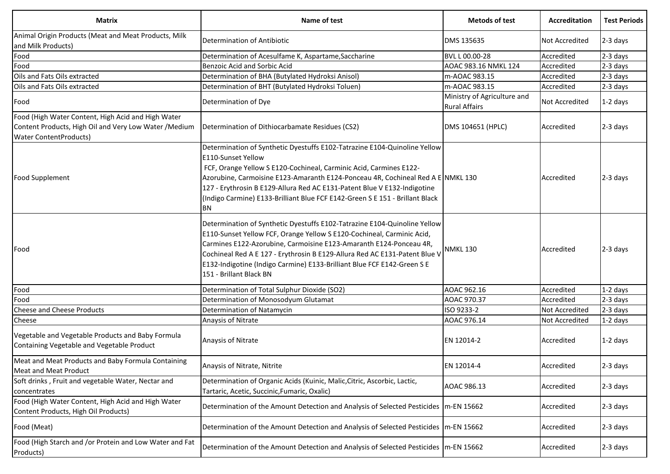| <b>Matrix</b>                                                                                                                                 | Name of test                                                                                                                                                                                                                                                                                                                                                                                                                      | <b>Metods of test</b>                               | Accreditation         | <b>Test Periods</b> |
|-----------------------------------------------------------------------------------------------------------------------------------------------|-----------------------------------------------------------------------------------------------------------------------------------------------------------------------------------------------------------------------------------------------------------------------------------------------------------------------------------------------------------------------------------------------------------------------------------|-----------------------------------------------------|-----------------------|---------------------|
| Animal Origin Products (Meat and Meat Products, Milk<br>and Milk Products)                                                                    | Determination of Antibiotic                                                                                                                                                                                                                                                                                                                                                                                                       | DMS 135635                                          | <b>Not Accredited</b> | 2-3 days            |
| Food                                                                                                                                          | Determination of Acesulfame K, Aspartame, Saccharine                                                                                                                                                                                                                                                                                                                                                                              | BVL L 00.00-28                                      | Accredited            | 2-3 days            |
| Food                                                                                                                                          | <b>Benzoic Acid and Sorbic Acid</b>                                                                                                                                                                                                                                                                                                                                                                                               | AOAC 983.16 NMKL 124                                | Accredited            | 2-3 days            |
| Oils and Fats Oils extracted                                                                                                                  | Determination of BHA (Butylated Hydroksi Anisol)                                                                                                                                                                                                                                                                                                                                                                                  | m-AOAC 983.15                                       | Accredited            | 2-3 days            |
| Oils and Fats Oils extracted                                                                                                                  | Determination of BHT (Butylated Hydroksi Toluen)                                                                                                                                                                                                                                                                                                                                                                                  | m-AOAC 983.15                                       | Accredited            | 2-3 days            |
| Food                                                                                                                                          | Determination of Dye                                                                                                                                                                                                                                                                                                                                                                                                              | Ministry of Agriculture and<br><b>Rural Affairs</b> | <b>Not Accredited</b> | $1-2$ days          |
| Food (High Water Content, High Acid and High Water<br>Content Products, High Oil and Very Low Water / Medium<br><b>Water ContentProducts)</b> | Determination of Dithiocarbamate Residues (CS2)                                                                                                                                                                                                                                                                                                                                                                                   | DMS 104651 (HPLC)                                   | Accredited            | 2-3 days            |
| <b>Food Supplement</b>                                                                                                                        | Determination of Synthetic Dyestuffs E102-Tatrazine E104-Quinoline Yellow<br>E110-Sunset Yellow<br>FCF, Orange Yellow S E120-Cochineal, Carminic Acid, Carmines E122-<br>Azorubine, Carmoisine E123-Amaranth E124-Ponceau 4R, Cochineal Red A E NMKL 130<br>127 - Erythrosin B E129-Allura Red AC E131-Patent Blue V E132-Indigotine<br>(Indigo Carmine) E133-Brilliant Blue FCF E142-Green S E 151 - Brillant Black<br><b>BN</b> |                                                     | Accredited            | 2-3 days            |
| Food                                                                                                                                          | Determination of Synthetic Dyestuffs E102-Tatrazine E104-Quinoline Yellow<br>E110-Sunset Yellow FCF, Orange Yellow S E120-Cochineal, Carminic Acid,<br>Carmines E122-Azorubine, Carmoisine E123-Amaranth E124-Ponceau 4R,<br>Cochineal Red A E 127 - Erythrosin B E129-Allura Red AC E131-Patent Blue V<br>E132-Indigotine (Indigo Carmine) E133-Brilliant Blue FCF E142-Green S E<br>151 - Brillant Black BN                     | NMKL 130                                            | Accredited            | 2-3 days            |
| Food                                                                                                                                          | Determination of Total Sulphur Dioxide (SO2)                                                                                                                                                                                                                                                                                                                                                                                      | AOAC 962.16                                         | Accredited            | 1-2 days            |
| Food                                                                                                                                          | Determination of Monosodyum Glutamat                                                                                                                                                                                                                                                                                                                                                                                              | AOAC 970.37                                         | Accredited            | 2-3 days            |
| <b>Cheese and Cheese Products</b>                                                                                                             | Determination of Natamycin                                                                                                                                                                                                                                                                                                                                                                                                        | ISO 9233-2                                          | Not Accredited        | 2-3 days            |
| Cheese                                                                                                                                        | Anaysis of Nitrate                                                                                                                                                                                                                                                                                                                                                                                                                | AOAC 976.14                                         | <b>Not Accredited</b> | 1-2 days            |
| Vegetable and Vegetable Products and Baby Formula<br>Containing Vegetable and Vegetable Product                                               | Anaysis of Nitrate                                                                                                                                                                                                                                                                                                                                                                                                                | EN 12014-2                                          | Accredited            | $1-2$ days          |
| Meat and Meat Products and Baby Formula Containing<br>Meat and Meat Product                                                                   | Anaysis of Nitrate, Nitrite                                                                                                                                                                                                                                                                                                                                                                                                       | EN 12014-4                                          | Accredited            | 2-3 days            |
| Soft drinks, Fruit and vegetable Water, Nectar and<br>concentrates                                                                            | Determination of Organic Acids (Kuinic, Malic, Citric, Ascorbic, Lactic,<br>Tartaric, Acetic, Succinic, Fumaric, Oxalic)                                                                                                                                                                                                                                                                                                          | AOAC 986.13                                         | Accredited            | 2-3 days            |
| Food (High Water Content, High Acid and High Water<br>Content Products, High Oil Products)                                                    | Determination of the Amount Detection and Analysis of Selected Pesticides                                                                                                                                                                                                                                                                                                                                                         | m-EN 15662                                          | Accredited            | 2-3 days            |
| Food (Meat)                                                                                                                                   | Determination of the Amount Detection and Analysis of Selected Pesticides                                                                                                                                                                                                                                                                                                                                                         | m-EN 15662                                          | Accredited            | 2-3 days            |
| Food (High Starch and /or Protein and Low Water and Fat<br>Products)                                                                          | Determination of the Amount Detection and Analysis of Selected Pesticides   m-EN 15662                                                                                                                                                                                                                                                                                                                                            |                                                     | Accredited            | 2-3 days            |